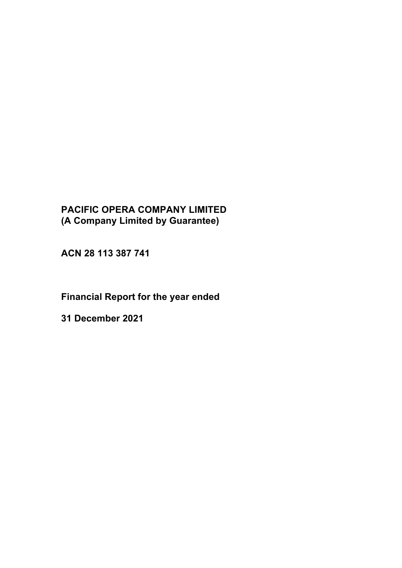# **PACIFIC OPERA COMPANY LIMITED (A Company Limited by Guarantee)**

**ACN 28 113 387 741**

# **Financial Report for the year ended**

**31 December 2021**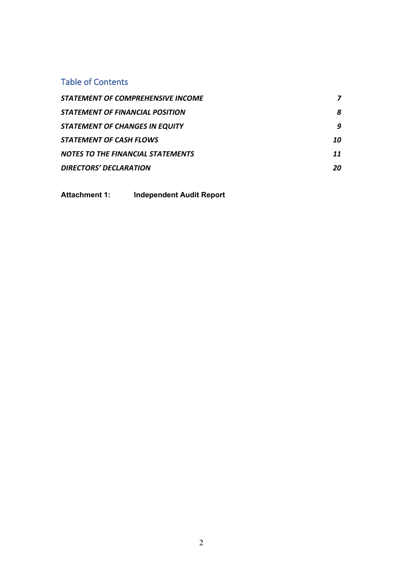# Table of Contents

| STATEMENT OF COMPREHENSIVE INCOME        |    |
|------------------------------------------|----|
| STATEMENT OF FINANCIAL POSITION          | 8  |
| <b>STATEMENT OF CHANGES IN EQUITY</b>    | q  |
| <b>STATEMENT OF CASH FLOWS</b>           | 10 |
| <b>NOTES TO THE FINANCIAL STATEMENTS</b> | 11 |
| <b>DIRECTORS' DECLARATION</b>            | 20 |

**Attachment 1: Independent Audit Report**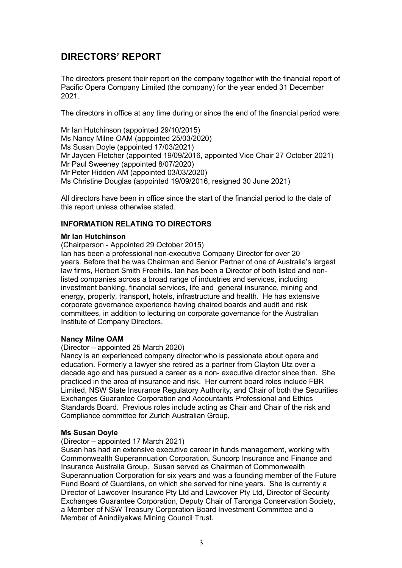# **DIRECTORS' REPORT**

The directors present their report on the company together with the financial report of Pacific Opera Company Limited (the company) for the year ended 31 December 2021.

The directors in office at any time during or since the end of the financial period were:

Mr Ian Hutchinson (appointed 29/10/2015) Ms Nancy Milne OAM (appointed 25/03/2020) Ms Susan Doyle (appointed 17/03/2021) Mr Jaycen Fletcher (appointed 19/09/2016, appointed Vice Chair 27 October 2021) Mr Paul Sweeney (appointed 8/07/2020) Mr Peter Hidden AM (appointed 03/03/2020) Ms Christine Douglas (appointed 19/09/2016, resigned 30 June 2021)

All directors have been in office since the start of the financial period to the date of this report unless otherwise stated.

# **INFORMATION RELATING TO DIRECTORS**

#### **Mr Ian Hutchinson**

(Chairperson - Appointed 29 October 2015)

Ian has been a professional non-executive Company Director for over 20 years. Before that he was Chairman and Senior Partner of one of Australia's largest law firms, Herbert Smith Freehills. Ian has been a Director of both listed and nonlisted companies across a broad range of industries and services, including investment banking, financial services, life and general insurance, mining and energy, property, transport, hotels, infrastructure and health. He has extensive corporate governance experience having chaired boards and audit and risk committees, in addition to lecturing on corporate governance for the Australian Institute of Company Directors.

# **Nancy Milne OAM**

(Director – appointed 25 March 2020)

Nancy is an experienced company director who is passionate about opera and education. Formerly a lawyer she retired as a partner from Clayton Utz over a decade ago and has pursued a career as a non- executive director since then. She practiced in the area of insurance and risk. Her current board roles include FBR Limited, NSW State Insurance Regulatory Authority, and Chair of both the Securities Exchanges Guarantee Corporation and Accountants Professional and Ethics Standards Board. Previous roles include acting as Chair and Chair of the risk and Compliance committee for Zurich Australian Group.

# **Ms Susan Doyle**

(Director – appointed 17 March 2021)

Susan has had an extensive executive career in funds management, working with Commonwealth Superannuation Corporation, Suncorp Insurance and Finance and Insurance Australia Group. Susan served as Chairman of Commonwealth Superannuation Corporation for six years and was a founding member of the Future Fund Board of Guardians, on which she served for nine years. She is currently a Director of Lawcover Insurance Pty Ltd and Lawcover Pty Ltd, Director of Security Exchanges Guarantee Corporation, Deputy Chair of Taronga Conservation Society, a Member of NSW Treasury Corporation Board Investment Committee and a Member of Anindilyakwa Mining Council Trust.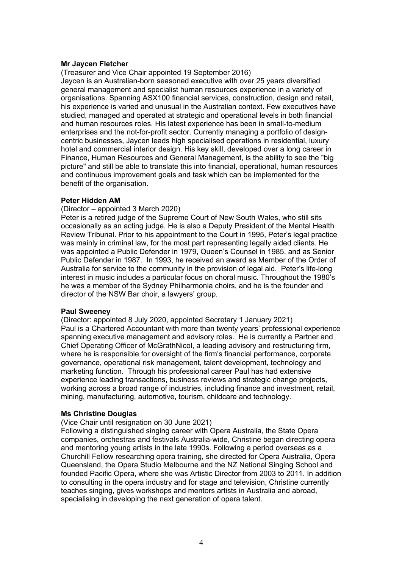#### **Mr Jaycen Fletcher**

(Treasurer and Vice Chair appointed 19 September 2016) Jaycen is an Australian-born seasoned executive with over 25 years diversified general management and specialist human resources experience in a variety of organisations. Spanning ASX100 financial services, construction, design and retail, his experience is varied and unusual in the Australian context. Few executives have studied, managed and operated at strategic and operational levels in both financial and human resources roles. His latest experience has been in small-to-medium enterprises and the not-for-profit sector. Currently managing a portfolio of designcentric businesses, Jaycen leads high specialised operations in residential, luxury hotel and commercial interior design. His key skill, developed over a long career in Finance, Human Resources and General Management, is the ability to see the "big picture" and still be able to translate this into financial, operational, human resources and continuous improvement goals and task which can be implemented for the benefit of the organisation.

# **Peter Hidden AM**

#### (Director – appointed 3 March 2020)

Peter is a retired judge of the Supreme Court of New South Wales, who still sits occasionally as an acting judge. He is also a Deputy President of the Mental Health Review Tribunal. Prior to his appointment to the Court in 1995, Peter's legal practice was mainly in criminal law, for the most part representing legally aided clients. He was appointed a Public Defender in 1979, Queen's Counsel in 1985, and as Senior Public Defender in 1987. In 1993, he received an award as Member of the Order of Australia for service to the community in the provision of legal aid. Peter's life-long interest in music includes a particular focus on choral music. Throughout the 1980's he was a member of the Sydney Philharmonia choirs, and he is the founder and director of the NSW Bar choir, a lawyers' group.

#### **Paul Sweeney**

(Director: appointed 8 July 2020, appointed Secretary 1 January 2021) Paul is a Chartered Accountant with more than twenty years' professional experience spanning executive management and advisory roles. He is currently a Partner and Chief Operating Officer of McGrathNicol, a leading advisory and restructuring firm, where he is responsible for oversight of the firm's financial performance, corporate governance, operational risk management, talent development, technology and marketing function. Through his professional career Paul has had extensive experience leading transactions, business reviews and strategic change projects, working across a broad range of industries, including finance and investment, retail, mining, manufacturing, automotive, tourism, childcare and technology.

# **Ms Christine Douglas**

(Vice Chair until resignation on 30 June 2021)

Following a distinguished singing career with Opera Australia, the State Opera companies, orchestras and festivals Australia-wide, Christine began directing opera and mentoring young artists in the late 1990s. Following a period overseas as a Churchill Fellow researching opera training, she directed for Opera Australia, Opera Queensland, the Opera Studio Melbourne and the NZ National Singing School and founded Pacific Opera, where she was Artistic Director from 2003 to 2011. In addition to consulting in the opera industry and for stage and television, Christine currently teaches singing, gives workshops and mentors artists in Australia and abroad, specialising in developing the next generation of opera talent.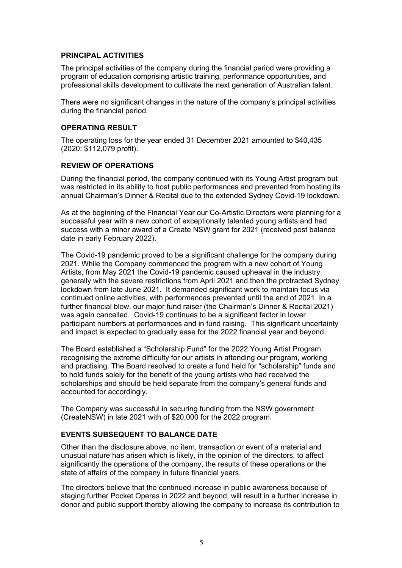# **PRINCIPAL ACTIVITIES**

The principal activities of the company during the financial period were providing a program of education comprising artistic training, performance opportunities, and professional skills development to cultivate the next generation of Australian talent.

There were no significant changes in the nature of the company's principal activities during the financial period.

# **OPERATING RESULT**

The operating loss for the year ended 31 December 2021 amounted to \$40,435 (2020: \$112,079 profit).

# **REVIEW OF OPERATIONS**

During the financial period, the company continued with its Young Artist program but was restricted in its ability to host public performances and prevented from hosting its annual Chairman's Dinner & Recital due to the extended Sydney Covid-19 lockdown.

As at the beginning of the Financial Year our Co-Artistic Directors were planning for a successful year with a new cohort of exceptionally talented young artists and had success with a minor award of a Create NSW grant for 2021 (received post balance date in early February 2022).

The Covid-19 pandemic proved to be a significant challenge for the company during 2021. While the Company commenced the program with a new cohort of Young Artists, from May 2021 the Covid-19 pandemic caused upheaval in the industry generally with the severe restrictions from April 2021 and then the protracted Sydney lockdown from late June 2021. It demanded significant work to maintain focus via continued online activities, with performances prevented until the end of 2021. In a further financial blow, our major fund raiser (the Chairman's Dinner & Recital 2021) was again cancelled. Covid-19 continues to be a significant factor in lower participant numbers at performances and in fund raising. This significant uncertainty and impact is expected to gradually ease for the 2022 financial year and beyond.

The Board established a "Scholarship Fund" for the 2022 Young Artist Program recognising the extreme difficulty for our artists in attending our program, working and practising. The Board resolved to create a fund held for "scholarship" funds and to hold funds solely for the benefit of the young artists who had received the scholarships and should be held separate from the company's general funds and accounted for accordingly.

The Company was successful in securing funding from the NSW government (CreateNSW) in late 2021 with of \$20,000 for the 2022 program.

# **EVENTS SUBSEQUENT TO BALANCE DATE**

Other than the disclosure above, no item, transaction or event of a material and unusual nature has arisen which is likely, in the opinion of the directors, to affect significantly the operations of the company, the results of these operations or the state of affairs of the company in future financial years.

The directors believe that the continued increase in public awareness because of staging further Pocket Operas in 2022 and beyond, will result in a further increase in donor and public support thereby allowing the company to increase its contribution to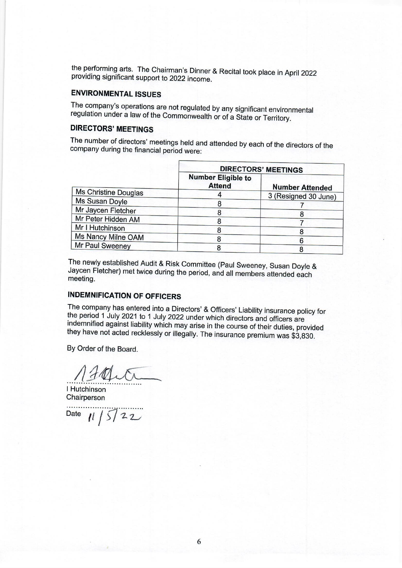the performing arts. The Chairman's Dinner & Recital took place in April 2022 providing significant support to 2022 income.

# **ENVIRONMENTAL ISSUES**

The company's operations are not regulated by any significant environmental regulation under a law of the Commonwealth or of a State or Territory.

# **DIRECTORS' MEETINGS**

The number of directors' meetings held and attended by each of the directors of the company during the financial period were:

|                      | <b>DIRECTORS' MEETINGS</b>                 |                        |  |
|----------------------|--------------------------------------------|------------------------|--|
|                      | <b>Number Eligible to</b><br><b>Attend</b> | <b>Number Attended</b> |  |
| Ms Christine Douglas |                                            | 3 (Resigned 30 June)   |  |
| Ms Susan Doyle       |                                            |                        |  |
| Mr Jaycen Fletcher   | 8                                          |                        |  |
| Mr Peter Hidden AM   | 8                                          |                        |  |
| Mr I Hutchinson      |                                            |                        |  |
| Ms Nancy Milne OAM   | 8                                          |                        |  |
| Mr Paul Sweeney      | 8                                          |                        |  |

The newly established Audit & Risk Committee (Paul Sweeney, Susan Doyle & Jaycen Fletcher) met twice during the period, and all members attended each meeting.

# **INDEMNIFICATION OF OFFICERS**

The company has entered into a Directors' & Officers' Liability insurance policy for the period 1 July 2021 to 1 July 2022 under which directors and officers are indemnified against liability which may arise in the course of their duties, provided they have not acted recklessly or illegally. The insurance premium was \$3,830.

By Order of the Board.

Franti

I Hutchinson Chairperson

. . . . . . . . . . Date  $11/5722$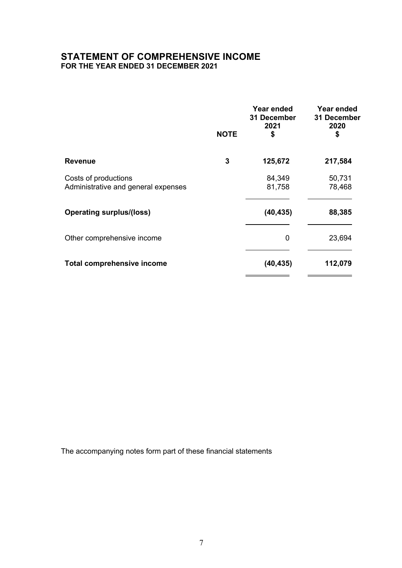# **STATEMENT OF COMPREHENSIVE INCOME FOR THE YEAR ENDED 31 DECEMBER 2021**

|                                                             | <b>NOTE</b> | Year ended<br>31 December<br>2021<br>\$ | Year ended<br>31 December<br>2020<br>\$ |
|-------------------------------------------------------------|-------------|-----------------------------------------|-----------------------------------------|
| <b>Revenue</b>                                              | 3           | 125,672                                 | 217,584                                 |
| Costs of productions<br>Administrative and general expenses |             | 84,349<br>81,758                        | 50,731<br>78,468                        |
| <b>Operating surplus/(loss)</b>                             |             | (40, 435)                               | 88,385                                  |
| Other comprehensive income                                  |             | 0                                       | 23,694                                  |
| <b>Total comprehensive income</b>                           |             | (40, 435)                               | 112,079                                 |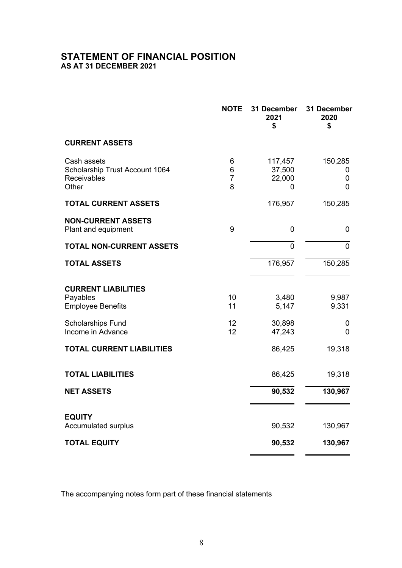# **STATEMENT OF FINANCIAL POSITION AS AT 31 DECEMBER 2021**

|                                                                       | <b>NOTE</b>                   | 31 December<br>2021<br>\$        | 31 December<br>2020<br>\$ |
|-----------------------------------------------------------------------|-------------------------------|----------------------------------|---------------------------|
| <b>CURRENT ASSETS</b>                                                 |                               |                                  |                           |
| Cash assets<br>Scholarship Trust Account 1064<br>Receivables<br>Other | 6<br>6<br>$\overline{7}$<br>8 | 117,457<br>37,500<br>22,000<br>0 | 150,285<br>0<br>0<br>0    |
| <b>TOTAL CURRENT ASSETS</b>                                           |                               | 176,957                          | 150,285                   |
| <b>NON-CURRENT ASSETS</b><br>Plant and equipment                      | 9                             | 0                                | 0                         |
| <b>TOTAL NON-CURRENT ASSETS</b>                                       |                               | $\overline{0}$                   | 0                         |
| <b>TOTAL ASSETS</b>                                                   |                               | 176,957                          | 150,285                   |
| <b>CURRENT LIABILITIES</b><br>Payables<br><b>Employee Benefits</b>    | 10<br>11                      | 3,480<br>5,147                   | 9,987<br>9,331            |
| <b>Scholarships Fund</b><br>Income in Advance                         | 12<br>12                      | 30,898<br>47,243                 | 0<br>0                    |
| <b>TOTAL CURRENT LIABILITIES</b>                                      |                               | 86,425                           | 19,318                    |
| <b>TOTAL LIABILITIES</b>                                              |                               | 86,425                           | 19,318                    |
| <b>NET ASSETS</b>                                                     |                               | 90,532                           | 130,967                   |
| <b>EQUITY</b><br><b>Accumulated surplus</b>                           |                               | 90,532                           | 130,967                   |
| <b>TOTAL EQUITY</b>                                                   |                               | 90,532                           | 130,967                   |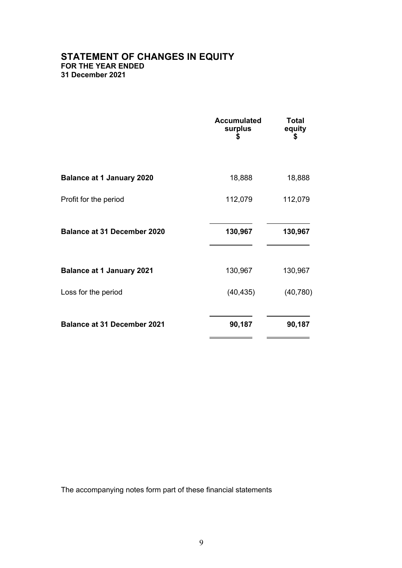# **STATEMENT OF CHANGES IN EQUITY FOR THE YEAR ENDED 31 December 2021**

|                                    | <b>Accumulated</b><br>surplus<br>\$ | Total<br>equity<br>\$ |
|------------------------------------|-------------------------------------|-----------------------|
| <b>Balance at 1 January 2020</b>   | 18,888                              | 18,888                |
| Profit for the period              | 112,079                             | 112,079               |
| <b>Balance at 31 December 2020</b> | 130,967                             | 130,967               |
| <b>Balance at 1 January 2021</b>   | 130,967                             | 130,967               |
| Loss for the period                | (40, 435)                           | (40, 780)             |
| <b>Balance at 31 December 2021</b> | 90,187                              | 90,187                |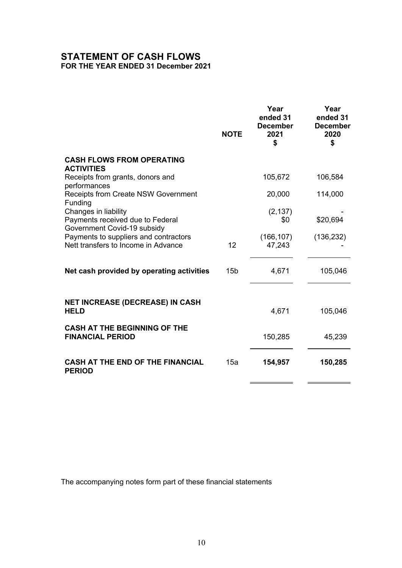# **STATEMENT OF CASH FLOWS FOR THE YEAR ENDED 31 December 2021**

|                                                                                         | <b>NOTE</b>     | Year<br>ended 31<br><b>December</b><br>2021<br>\$ | Year<br>ended 31<br><b>December</b><br>2020<br>\$ |
|-----------------------------------------------------------------------------------------|-----------------|---------------------------------------------------|---------------------------------------------------|
| <b>CASH FLOWS FROM OPERATING</b><br><b>ACTIVITIES</b>                                   |                 |                                                   |                                                   |
| Receipts from grants, donors and<br>performances                                        |                 | 105,672                                           | 106,584                                           |
| <b>Receipts from Create NSW Government</b><br>Funding                                   |                 | 20,000                                            | 114,000                                           |
| Changes in liability<br>Payments received due to Federal<br>Government Covid-19 subsidy |                 | (2, 137)<br>\$0                                   | \$20,694                                          |
| Payments to suppliers and contractors<br>Nett transfers to Income in Advance            | 12              | (166, 107)<br>47,243                              | (136, 232)                                        |
| Net cash provided by operating activities                                               | 15 <sub>b</sub> | 4,671                                             | 105,046                                           |
| <b>NET INCREASE (DECREASE) IN CASH</b>                                                  |                 |                                                   |                                                   |
| <b>HELD</b>                                                                             |                 | 4,671                                             | 105,046                                           |
| <b>CASH AT THE BEGINNING OF THE</b><br><b>FINANCIAL PERIOD</b>                          |                 | 150,285                                           | 45,239                                            |
| <b>CASH AT THE END OF THE FINANCIAL</b><br><b>PERIOD</b>                                | 15a             | 154,957                                           | 150,285                                           |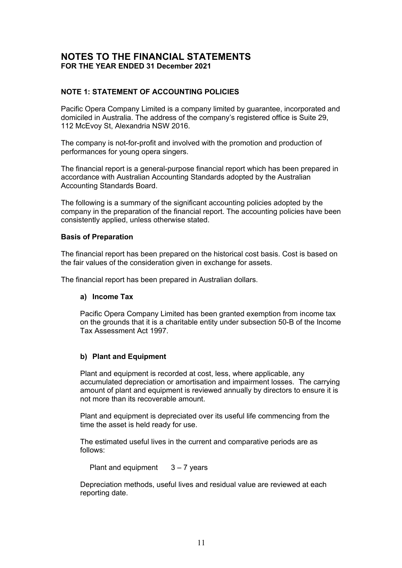# **NOTE 1: STATEMENT OF ACCOUNTING POLICIES**

Pacific Opera Company Limited is a company limited by guarantee, incorporated and domiciled in Australia. The address of the company's registered office is Suite 29, 112 McEvoy St, Alexandria NSW 2016.

The company is not-for-profit and involved with the promotion and production of performances for young opera singers.

The financial report is a general-purpose financial report which has been prepared in accordance with Australian Accounting Standards adopted by the Australian Accounting Standards Board.

The following is a summary of the significant accounting policies adopted by the company in the preparation of the financial report. The accounting policies have been consistently applied, unless otherwise stated.

#### **Basis of Preparation**

The financial report has been prepared on the historical cost basis. Cost is based on the fair values of the consideration given in exchange for assets.

The financial report has been prepared in Australian dollars.

# **a) Income Tax**

Pacific Opera Company Limited has been granted exemption from income tax on the grounds that it is a charitable entity under subsection 50-B of the Income Tax Assessment Act 1997.

# **b) Plant and Equipment**

Plant and equipment is recorded at cost, less, where applicable, any accumulated depreciation or amortisation and impairment losses. The carrying amount of plant and equipment is reviewed annually by directors to ensure it is not more than its recoverable amount.

Plant and equipment is depreciated over its useful life commencing from the time the asset is held ready for use.

The estimated useful lives in the current and comparative periods are as follows:

Plant and equipment  $3 - 7$  years

Depreciation methods, useful lives and residual value are reviewed at each reporting date.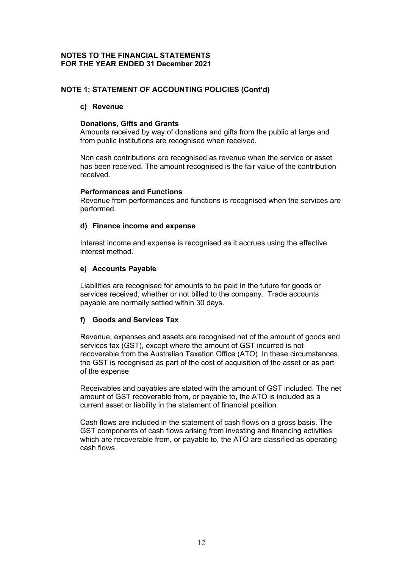# **NOTE 1: STATEMENT OF ACCOUNTING POLICIES (Cont'd)**

#### **c) Revenue**

#### **Donations, Gifts and Grants**

Amounts received by way of donations and gifts from the public at large and from public institutions are recognised when received.

Non cash contributions are recognised as revenue when the service or asset has been received. The amount recognised is the fair value of the contribution received.

#### **Performances and Functions**

Revenue from performances and functions is recognised when the services are performed.

#### **d) Finance income and expense**

Interest income and expense is recognised as it accrues using the effective interest method.

# **e) Accounts Payable**

Liabilities are recognised for amounts to be paid in the future for goods or services received, whether or not billed to the company. Trade accounts payable are normally settled within 30 days.

# **f) Goods and Services Tax**

Revenue, expenses and assets are recognised net of the amount of goods and services tax (GST), except where the amount of GST incurred is not recoverable from the Australian Taxation Office (ATO). In these circumstances, the GST is recognised as part of the cost of acquisition of the asset or as part of the expense.

Receivables and payables are stated with the amount of GST included. The net amount of GST recoverable from, or payable to, the ATO is included as a current asset or liability in the statement of financial position.

Cash flows are included in the statement of cash flows on a gross basis. The GST components of cash flows arising from investing and financing activities which are recoverable from, or payable to, the ATO are classified as operating cash flows.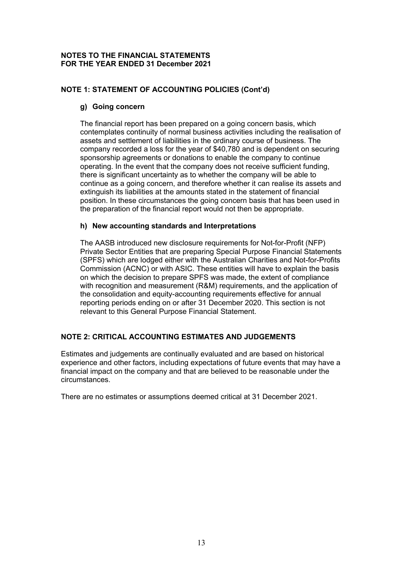# **NOTE 1: STATEMENT OF ACCOUNTING POLICIES (Cont'd)**

# **g) Going concern**

The financial report has been prepared on a going concern basis, which contemplates continuity of normal business activities including the realisation of assets and settlement of liabilities in the ordinary course of business. The company recorded a loss for the year of \$40,780 and is dependent on securing sponsorship agreements or donations to enable the company to continue operating. In the event that the company does not receive sufficient funding, there is significant uncertainty as to whether the company will be able to continue as a going concern, and therefore whether it can realise its assets and extinguish its liabilities at the amounts stated in the statement of financial position. In these circumstances the going concern basis that has been used in the preparation of the financial report would not then be appropriate.

#### **h) New accounting standards and Interpretations**

The AASB introduced new disclosure requirements for Not-for-Profit (NFP) Private Sector Entities that are preparing Special Purpose Financial Statements (SPFS) which are lodged either with the Australian Charities and Not-for-Profits Commission (ACNC) or with ASIC. These entities will have to explain the basis on which the decision to prepare SPFS was made, the extent of compliance with recognition and measurement (R&M) requirements, and the application of the consolidation and equity-accounting requirements effective for annual reporting periods ending on or after 31 December 2020. This section is not relevant to this General Purpose Financial Statement.

# **NOTE 2: CRITICAL ACCOUNTING ESTIMATES AND JUDGEMENTS**

Estimates and judgements are continually evaluated and are based on historical experience and other factors, including expectations of future events that may have a financial impact on the company and that are believed to be reasonable under the circumstances.

There are no estimates or assumptions deemed critical at 31 December 2021.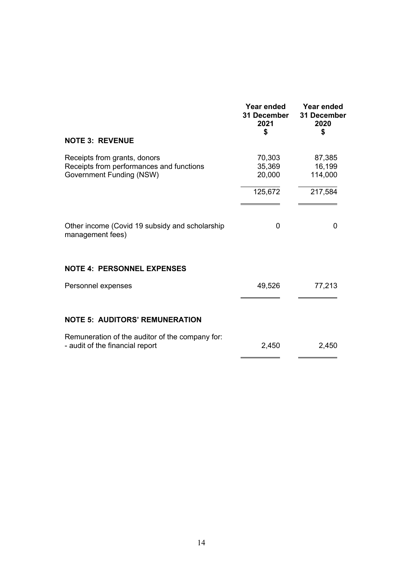|                                                                                                      | <b>Year ended</b><br>31 December<br>2021<br>\$ | Year ended<br>31 December<br>2020<br>\$ |
|------------------------------------------------------------------------------------------------------|------------------------------------------------|-----------------------------------------|
| <b>NOTE 3: REVENUE</b>                                                                               |                                                |                                         |
| Receipts from grants, donors<br>Receipts from performances and functions<br>Government Funding (NSW) | 70,303<br>35,369<br>20,000                     | 87,385<br>16,199<br>114,000             |
|                                                                                                      | 125,672                                        | 217,584                                 |
|                                                                                                      |                                                |                                         |
| Other income (Covid 19 subsidy and scholarship<br>management fees)                                   | 0                                              | $\Omega$                                |
| <b>NOTE 4: PERSONNEL EXPENSES</b>                                                                    |                                                |                                         |
| Personnel expenses                                                                                   | 49,526                                         | 77,213                                  |
|                                                                                                      |                                                |                                         |
| <b>NOTE 5: AUDITORS' REMUNERATION</b>                                                                |                                                |                                         |
| Remuneration of the auditor of the company for:<br>- audit of the financial report                   | 2,450                                          | 2,450                                   |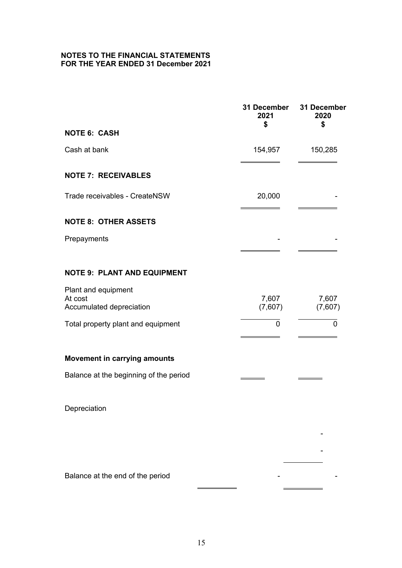|                                                            | <b>31 December</b><br>2021<br>\$ | 31 December<br>2020<br>\$ |
|------------------------------------------------------------|----------------------------------|---------------------------|
| <b>NOTE 6: CASH</b>                                        |                                  |                           |
| Cash at bank                                               | 154,957                          | 150,285                   |
| <b>NOTE 7: RECEIVABLES</b>                                 |                                  |                           |
| Trade receivables - CreateNSW                              | 20,000                           |                           |
| <b>NOTE 8: OTHER ASSETS</b>                                |                                  |                           |
| Prepayments                                                |                                  |                           |
| <b>NOTE 9: PLANT AND EQUIPMENT</b>                         |                                  |                           |
| Plant and equipment<br>At cost<br>Accumulated depreciation | 7,607<br>(7,607)                 | 7,607<br>(7,607)          |
| Total property plant and equipment                         | $\mathbf 0$                      | $\mathbf 0$               |
| <b>Movement in carrying amounts</b>                        |                                  |                           |
| Balance at the beginning of the period                     |                                  |                           |
| Depreciation                                               |                                  |                           |
|                                                            |                                  |                           |
|                                                            |                                  |                           |
| Balance at the end of the period                           |                                  |                           |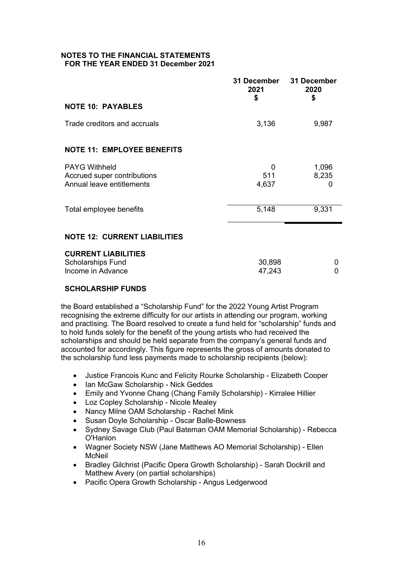|                                                          | 31 December<br>2021<br>\$ | 31 December<br>2020<br>\$ |
|----------------------------------------------------------|---------------------------|---------------------------|
| <b>NOTE 10: PAYABLES</b>                                 |                           |                           |
| Trade creditors and accruals                             | 3,136                     | 9,987                     |
| <b>NOTE 11: EMPLOYEE BENEFITS</b>                        |                           |                           |
| <b>PAYG Withheld</b>                                     | 0                         | 1,096                     |
| Accrued super contributions<br>Annual leave entitlements | 511<br>4,637              | 8,235<br>0                |
|                                                          |                           |                           |
| Total employee benefits                                  | 5,148                     | 9,331                     |
| <b>NOTE 12: CURRENT LIABILITIES</b>                      |                           |                           |
| <b>CURRENT LIABILITIES</b>                               |                           |                           |
| <b>Scholarships Fund</b><br>Income in Advance            | 30,898<br>47,243          | 0<br>$\Omega$             |
|                                                          |                           |                           |

# **SCHOLARSHIP FUNDS**

the Board established a "Scholarship Fund" for the 2022 Young Artist Program recognising the extreme difficulty for our artists in attending our program, working and practising. The Board resolved to create a fund held for "scholarship" funds and to hold funds solely for the benefit of the young artists who had received the scholarships and should be held separate from the company's general funds and accounted for accordingly. This figure represents the gross of amounts donated to the scholarship fund less payments made to scholarship recipients (below):

- Justice Francois Kunc and Felicity Rourke Scholarship Elizabeth Cooper
- Ian McGaw Scholarship Nick Geddes
- Emily and Yvonne Chang (Chang Family Scholarship) Kirralee Hillier
- Loz Copley Scholarship Nicole Mealey
- Nancy Milne OAM Scholarship Rachel Mink
- Susan Doyle Scholarship Oscar Balle-Bowness
- Sydney Savage Club (Paul Bateman OAM Memorial Scholarship) Rebecca O'Hanlon
- Wagner Society NSW (Jane Matthews AO Memorial Scholarship) Ellen McNeil
- Bradley Gilchrist (Pacific Opera Growth Scholarship) Sarah Dockrill and Matthew Avery (on partial scholarships)
- Pacific Opera Growth Scholarship Angus Ledgerwood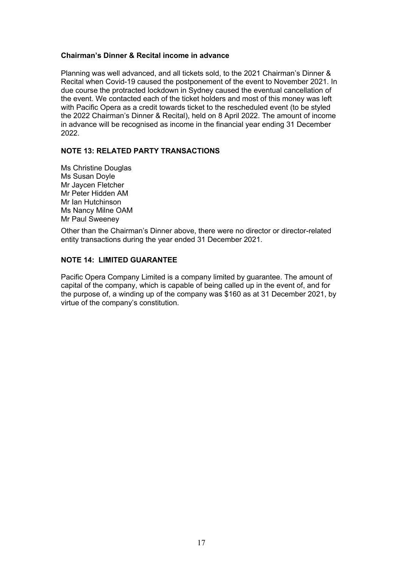# **Chairman's Dinner & Recital income in advance**

Planning was well advanced, and all tickets sold, to the 2021 Chairman's Dinner & Recital when Covid-19 caused the postponement of the event to November 2021. In due course the protracted lockdown in Sydney caused the eventual cancellation of the event. We contacted each of the ticket holders and most of this money was left with Pacific Opera as a credit towards ticket to the rescheduled event (to be styled the 2022 Chairman's Dinner & Recital), held on 8 April 2022. The amount of income in advance will be recognised as income in the financial year ending 31 December 2022.

#### **NOTE 13: RELATED PARTY TRANSACTIONS**

Ms Christine Douglas Ms Susan Doyle Mr Jaycen Fletcher Mr Peter Hidden AM Mr Ian Hutchinson Ms Nancy Milne OAM Mr Paul Sweeney

Other than the Chairman's Dinner above, there were no director or director-related entity transactions during the year ended 31 December 2021.

# **NOTE 14: LIMITED GUARANTEE**

Pacific Opera Company Limited is a company limited by guarantee. The amount of capital of the company, which is capable of being called up in the event of, and for the purpose of, a winding up of the company was \$160 as at 31 December 2021, by virtue of the company's constitution.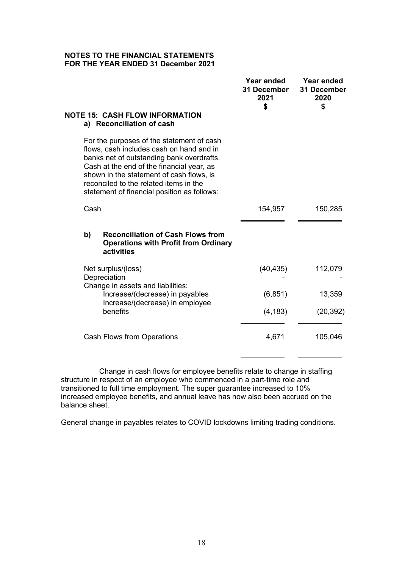| <b>NOTE 15: CASH FLOW INFORMATION</b><br>a) Reconciliation of cash                                                                                                                                                                                                                                                   | Year ended<br>31 December<br>2021<br>\$ | Year ended<br>31 December<br>2020<br>\$ |
|----------------------------------------------------------------------------------------------------------------------------------------------------------------------------------------------------------------------------------------------------------------------------------------------------------------------|-----------------------------------------|-----------------------------------------|
| For the purposes of the statement of cash<br>flows, cash includes cash on hand and in<br>banks net of outstanding bank overdrafts.<br>Cash at the end of the financial year, as<br>shown in the statement of cash flows, is<br>reconciled to the related items in the<br>statement of financial position as follows: |                                         |                                         |
| Cash                                                                                                                                                                                                                                                                                                                 | 154,957                                 | 150,285                                 |
| b)<br><b>Reconciliation of Cash Flows from</b><br><b>Operations with Profit from Ordinary</b><br>activities                                                                                                                                                                                                          |                                         |                                         |
| Net surplus/(loss)<br>Depreciation<br>Change in assets and liabilities:                                                                                                                                                                                                                                              | (40, 435)                               | 112,079                                 |
| Increase/(decrease) in payables                                                                                                                                                                                                                                                                                      | (6, 851)                                | 13,359                                  |
| Increase/(decrease) in employee<br>benefits                                                                                                                                                                                                                                                                          | (4, 183)                                | (20, 392)                               |
| Cash Flows from Operations                                                                                                                                                                                                                                                                                           | 4,671                                   | 105,046                                 |
|                                                                                                                                                                                                                                                                                                                      |                                         |                                         |

Change in cash flows for employee benefits relate to change in staffing structure in respect of an employee who commenced in a part-time role and transitioned to full time employment. The super guarantee increased to 10% increased employee benefits, and annual leave has now also been accrued on the balance sheet.

General change in payables relates to COVID lockdowns limiting trading conditions.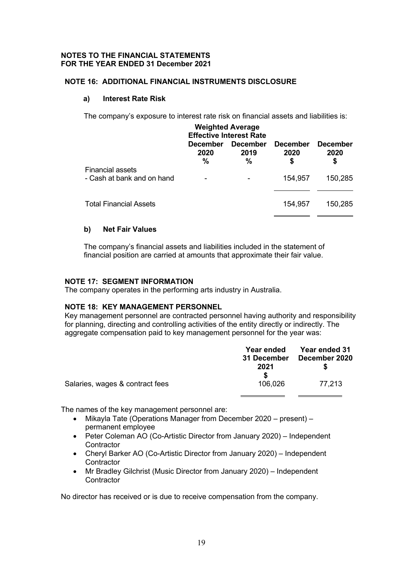# **NOTE 16: ADDITIONAL FINANCIAL INSTRUMENTS DISCLOSURE**

#### **a) Interest Rate Risk**

The company's exposure to interest rate risk on financial assets and liabilities is:

| <b>Weighted Average</b><br><b>Effective Interest Rate</b> |                              |                                 |                               |                               |
|-----------------------------------------------------------|------------------------------|---------------------------------|-------------------------------|-------------------------------|
|                                                           | <b>December</b><br>2020<br>% | <b>December</b><br>2019<br>$\%$ | <b>December</b><br>2020<br>\$ | <b>December</b><br>2020<br>\$ |
| <b>Financial assets</b><br>- Cash at bank and on hand     |                              |                                 | 154,957                       | 150,285                       |
| <b>Total Financial Assets</b>                             |                              |                                 | 154,957                       | 150,285                       |

# **b) Net Fair Values**

The company's financial assets and liabilities included in the statement of financial position are carried at amounts that approximate their fair value.

# **NOTE 17: SEGMENT INFORMATION**

The company operates in the performing arts industry in Australia.

# **NOTE 18: KEY MANAGEMENT PERSONNEL**

Key management personnel are contracted personnel having authority and responsibility for planning, directing and controlling activities of the entity directly or indirectly. The aggregate compensation paid to key management personnel for the year was:

|                                 | <b>Year ended</b> | <b>Year ended 31</b> |
|---------------------------------|-------------------|----------------------|
|                                 | 31 December       | December 2020        |
|                                 | 2021              |                      |
|                                 | S                 |                      |
| Salaries, wages & contract fees | 106.026           | 77.213               |

The names of the key management personnel are:

- Mikayla Tate (Operations Manager from December 2020 present) permanent employee
- Peter Coleman AO (Co-Artistic Director from January 2020) Independent **Contractor**
- Cheryl Barker AO (Co-Artistic Director from January 2020) Independent **Contractor**
- Mr Bradley Gilchrist (Music Director from January 2020) Independent **Contractor**

No director has received or is due to receive compensation from the company.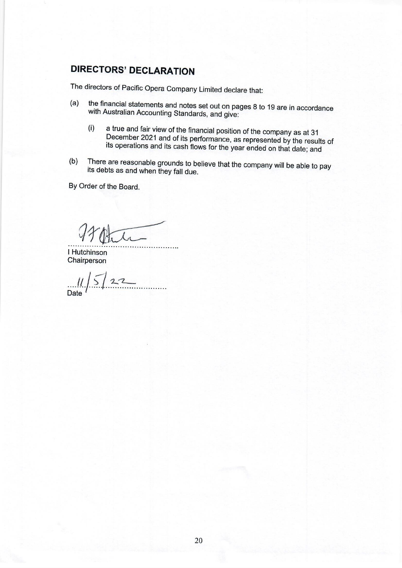# **DIRECTORS' DECLARATION**

The directors of Pacific Opera Company Limited declare that:

- the financial statements and notes set out on pages 8 to 19 are in accordance  $(a)$ with Australian Accounting Standards, and give:
	- a true and fair view of the financial position of the company as at 31  $(i)$ December 2021 and of its performance, as represented by the results of its operations and its cash flows for the year ended on that date; and
- There are reasonable grounds to believe that the company will be able to pay  $(b)$ its debts as and when they fall due.

By Order of the Board.

I Hutchinson Chairperson

 $122$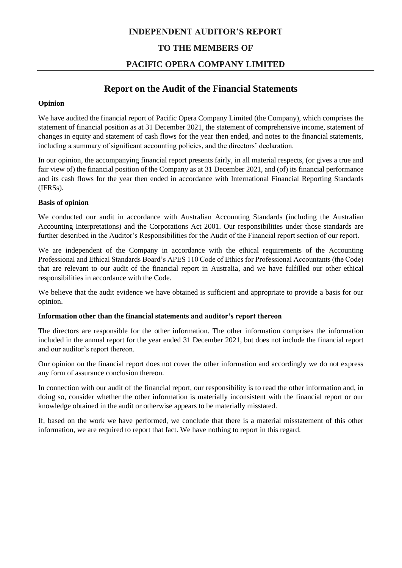# **INDEPENDENT AUDITOR'S REPORT**

# **TO THE MEMBERS OF**

# **PACIFIC OPERA COMPANY LIMITED**

# **Report on the Audit of the Financial Statements**

#### **Opinion**

We have audited the financial report of Pacific Opera Company Limited (the Company), which comprises the statement of financial position as at 31 December 2021, the statement of comprehensive income, statement of changes in equity and statement of cash flows for the year then ended, and notes to the financial statements, including a summary of significant accounting policies, and the directors' declaration.

In our opinion, the accompanying financial report presents fairly, in all material respects, (or gives a true and fair view of) the financial position of the Company as at 31 December 2021, and (of) its financial performance and its cash flows for the year then ended in accordance with International Financial Reporting Standards (IFRSs).

#### **Basis of opinion**

We conducted our audit in accordance with Australian Accounting Standards (including the Australian Accounting Interpretations) and the Corporations Act 2001. Our responsibilities under those standards are further described in the Auditor's Responsibilities for the Audit of the Financial report section of our report.

We are independent of the Company in accordance with the ethical requirements of the Accounting Professional and Ethical Standards Board's APES 110 Code of Ethics for Professional Accountants (the Code) that are relevant to our audit of the financial report in Australia, and we have fulfilled our other ethical responsibilities in accordance with the Code.

We believe that the audit evidence we have obtained is sufficient and appropriate to provide a basis for our opinion.

#### **Information other than the financial statements and auditor's report thereon**

The directors are responsible for the other information. The other information comprises the information included in the annual report for the year ended 31 December 2021, but does not include the financial report and our auditor's report thereon.

Our opinion on the financial report does not cover the other information and accordingly we do not express any form of assurance conclusion thereon.

In connection with our audit of the financial report, our responsibility is to read the other information and, in doing so, consider whether the other information is materially inconsistent with the financial report or our knowledge obtained in the audit or otherwise appears to be materially misstated.

If, based on the work we have performed, we conclude that there is a material misstatement of this other information, we are required to report that fact. We have nothing to report in this regard.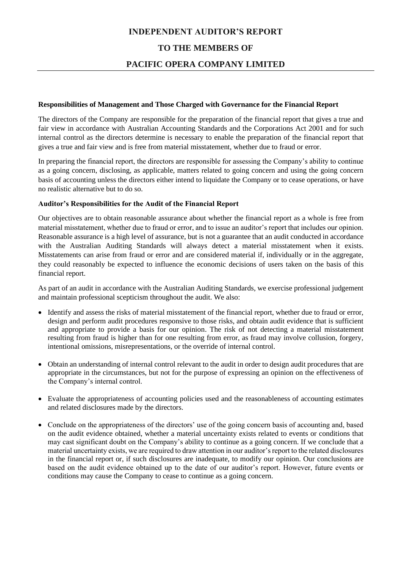# **INDEPENDENT AUDITOR'S REPORT TO THE MEMBERS OF**

# **PACIFIC OPERA COMPANY LIMITED**

#### **Responsibilities of Management and Those Charged with Governance for the Financial Report**

The directors of the Company are responsible for the preparation of the financial report that gives a true and fair view in accordance with Australian Accounting Standards and the Corporations Act 2001 and for such internal control as the directors determine is necessary to enable the preparation of the financial report that gives a true and fair view and is free from material misstatement, whether due to fraud or error.

In preparing the financial report, the directors are responsible for assessing the Company's ability to continue as a going concern, disclosing, as applicable, matters related to going concern and using the going concern basis of accounting unless the directors either intend to liquidate the Company or to cease operations, or have no realistic alternative but to do so.

#### **Auditor's Responsibilities for the Audit of the Financial Report**

Our objectives are to obtain reasonable assurance about whether the financial report as a whole is free from material misstatement, whether due to fraud or error, and to issue an auditor's report that includes our opinion. Reasonable assurance is a high level of assurance, but is not a guarantee that an audit conducted in accordance with the Australian Auditing Standards will always detect a material misstatement when it exists. Misstatements can arise from fraud or error and are considered material if, individually or in the aggregate, they could reasonably be expected to influence the economic decisions of users taken on the basis of this financial report.

As part of an audit in accordance with the Australian Auditing Standards, we exercise professional judgement and maintain professional scepticism throughout the audit. We also:

- Identify and assess the risks of material misstatement of the financial report, whether due to fraud or error, design and perform audit procedures responsive to those risks, and obtain audit evidence that is sufficient and appropriate to provide a basis for our opinion. The risk of not detecting a material misstatement resulting from fraud is higher than for one resulting from error, as fraud may involve collusion, forgery, intentional omissions, misrepresentations, or the override of internal control.
- Obtain an understanding of internal control relevant to the audit in order to design audit procedures that are appropriate in the circumstances, but not for the purpose of expressing an opinion on the effectiveness of the Company's internal control.
- Evaluate the appropriateness of accounting policies used and the reasonableness of accounting estimates and related disclosures made by the directors.
- Conclude on the appropriateness of the directors' use of the going concern basis of accounting and, based on the audit evidence obtained, whether a material uncertainty exists related to events or conditions that may cast significant doubt on the Company's ability to continue as a going concern. If we conclude that a material uncertainty exists, we are required to draw attention in our auditor's report to the related disclosures in the financial report or, if such disclosures are inadequate, to modify our opinion. Our conclusions are based on the audit evidence obtained up to the date of our auditor's report. However, future events or conditions may cause the Company to cease to continue as a going concern.